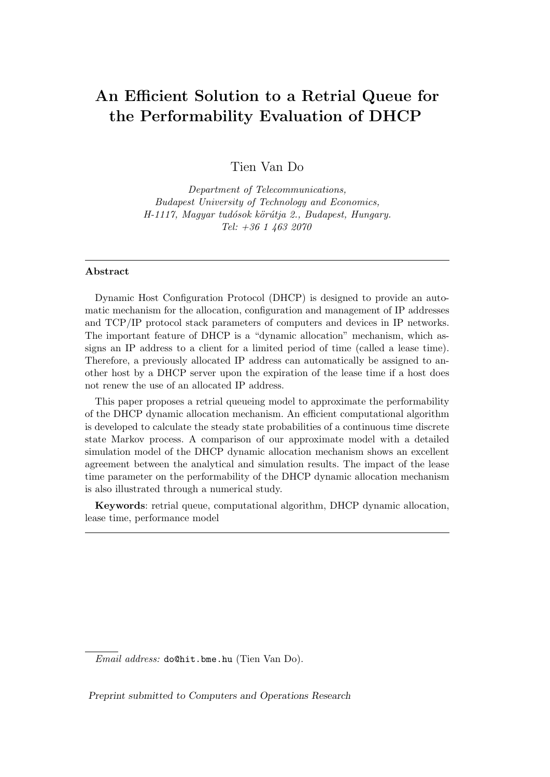# An Efficient Solution to a Retrial Queue for the Performability Evaluation of DHCP

Tien Van Do

Department of Telecommunications, Budapest University of Technology and Economics, H-1117, Magyar tudósok körútja 2., Budapest, Hungary. Tel: +36 1 463 2070

#### Abstract

Dynamic Host Configuration Protocol (DHCP) is designed to provide an automatic mechanism for the allocation, configuration and management of IP addresses and TCP/IP protocol stack parameters of computers and devices in IP networks. The important feature of DHCP is a "dynamic allocation" mechanism, which assigns an IP address to a client for a limited period of time (called a lease time). Therefore, a previously allocated IP address can automatically be assigned to another host by a DHCP server upon the expiration of the lease time if a host does not renew the use of an allocated IP address.

This paper proposes a retrial queueing model to approximate the performability of the DHCP dynamic allocation mechanism. An efficient computational algorithm is developed to calculate the steady state probabilities of a continuous time discrete state Markov process. A comparison of our approximate model with a detailed simulation model of the DHCP dynamic allocation mechanism shows an excellent agreement between the analytical and simulation results. The impact of the lease time parameter on the performability of the DHCP dynamic allocation mechanism is also illustrated through a numerical study.

Keywords: retrial queue, computational algorithm, DHCP dynamic allocation, lease time, performance model

Preprint submitted to Computers and Operations Research

Email address: do@hit.bme.hu (Tien Van Do).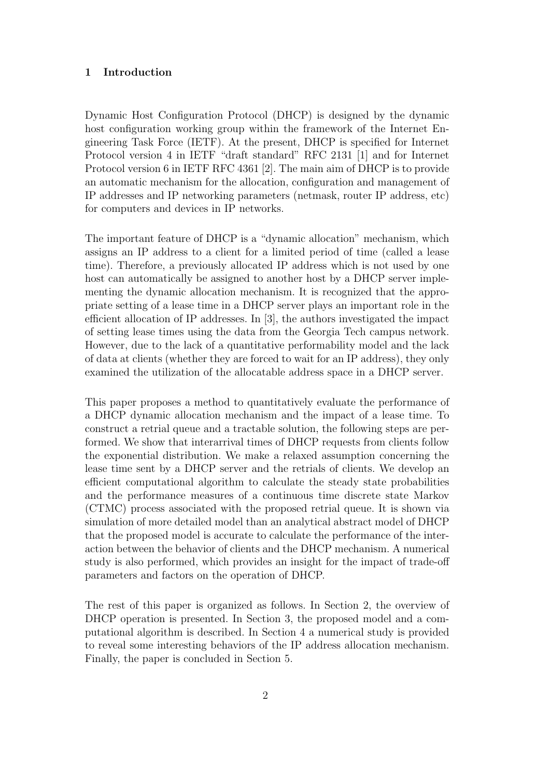## 1 Introduction

Dynamic Host Configuration Protocol (DHCP) is designed by the dynamic host configuration working group within the framework of the Internet Engineering Task Force (IETF). At the present, DHCP is specified for Internet Protocol version 4 in IETF "draft standard" RFC 2131 [1] and for Internet Protocol version 6 in IETF RFC 4361 [2]. The main aim of DHCP is to provide an automatic mechanism for the allocation, configuration and management of IP addresses and IP networking parameters (netmask, router IP address, etc) for computers and devices in IP networks.

The important feature of DHCP is a "dynamic allocation" mechanism, which assigns an IP address to a client for a limited period of time (called a lease time). Therefore, a previously allocated IP address which is not used by one host can automatically be assigned to another host by a DHCP server implementing the dynamic allocation mechanism. It is recognized that the appropriate setting of a lease time in a DHCP server plays an important role in the efficient allocation of IP addresses. In [3], the authors investigated the impact of setting lease times using the data from the Georgia Tech campus network. However, due to the lack of a quantitative performability model and the lack of data at clients (whether they are forced to wait for an IP address), they only examined the utilization of the allocatable address space in a DHCP server.

This paper proposes a method to quantitatively evaluate the performance of a DHCP dynamic allocation mechanism and the impact of a lease time. To construct a retrial queue and a tractable solution, the following steps are performed. We show that interarrival times of DHCP requests from clients follow the exponential distribution. We make a relaxed assumption concerning the lease time sent by a DHCP server and the retrials of clients. We develop an efficient computational algorithm to calculate the steady state probabilities and the performance measures of a continuous time discrete state Markov (CTMC) process associated with the proposed retrial queue. It is shown via simulation of more detailed model than an analytical abstract model of DHCP that the proposed model is accurate to calculate the performance of the interaction between the behavior of clients and the DHCP mechanism. A numerical study is also performed, which provides an insight for the impact of trade-off parameters and factors on the operation of DHCP.

The rest of this paper is organized as follows. In Section 2, the overview of DHCP operation is presented. In Section 3, the proposed model and a computational algorithm is described. In Section 4 a numerical study is provided to reveal some interesting behaviors of the IP address allocation mechanism. Finally, the paper is concluded in Section 5.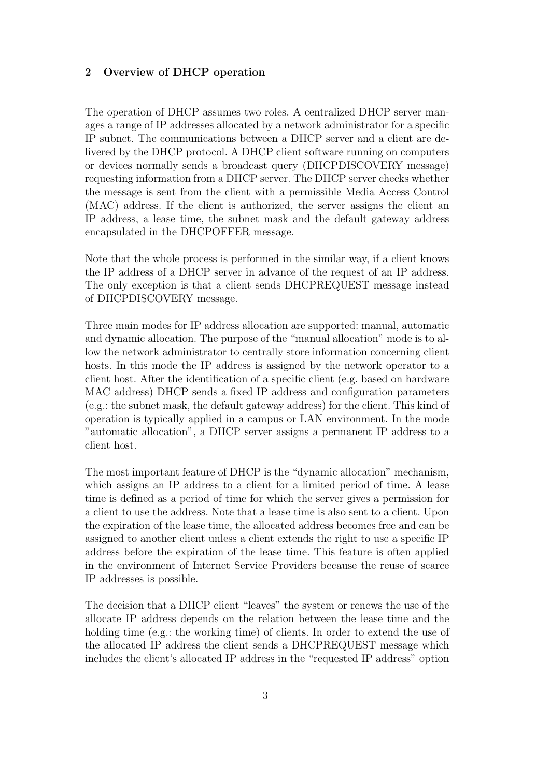#### 2 Overview of DHCP operation

The operation of DHCP assumes two roles. A centralized DHCP server manages a range of IP addresses allocated by a network administrator for a specific IP subnet. The communications between a DHCP server and a client are delivered by the DHCP protocol. A DHCP client software running on computers or devices normally sends a broadcast query (DHCPDISCOVERY message) requesting information from a DHCP server. The DHCP server checks whether the message is sent from the client with a permissible Media Access Control (MAC) address. If the client is authorized, the server assigns the client an IP address, a lease time, the subnet mask and the default gateway address encapsulated in the DHCPOFFER message.

Note that the whole process is performed in the similar way, if a client knows the IP address of a DHCP server in advance of the request of an IP address. The only exception is that a client sends DHCPREQUEST message instead of DHCPDISCOVERY message.

Three main modes for IP address allocation are supported: manual, automatic and dynamic allocation. The purpose of the "manual allocation" mode is to allow the network administrator to centrally store information concerning client hosts. In this mode the IP address is assigned by the network operator to a client host. After the identification of a specific client (e.g. based on hardware MAC address) DHCP sends a fixed IP address and configuration parameters (e.g.: the subnet mask, the default gateway address) for the client. This kind of operation is typically applied in a campus or LAN environment. In the mode "automatic allocation", a DHCP server assigns a permanent IP address to a client host.

The most important feature of DHCP is the "dynamic allocation" mechanism, which assigns an IP address to a client for a limited period of time. A lease time is defined as a period of time for which the server gives a permission for a client to use the address. Note that a lease time is also sent to a client. Upon the expiration of the lease time, the allocated address becomes free and can be assigned to another client unless a client extends the right to use a specific IP address before the expiration of the lease time. This feature is often applied in the environment of Internet Service Providers because the reuse of scarce IP addresses is possible.

The decision that a DHCP client "leaves" the system or renews the use of the allocate IP address depends on the relation between the lease time and the holding time (e.g.: the working time) of clients. In order to extend the use of the allocated IP address the client sends a DHCPREQUEST message which includes the client's allocated IP address in the "requested IP address" option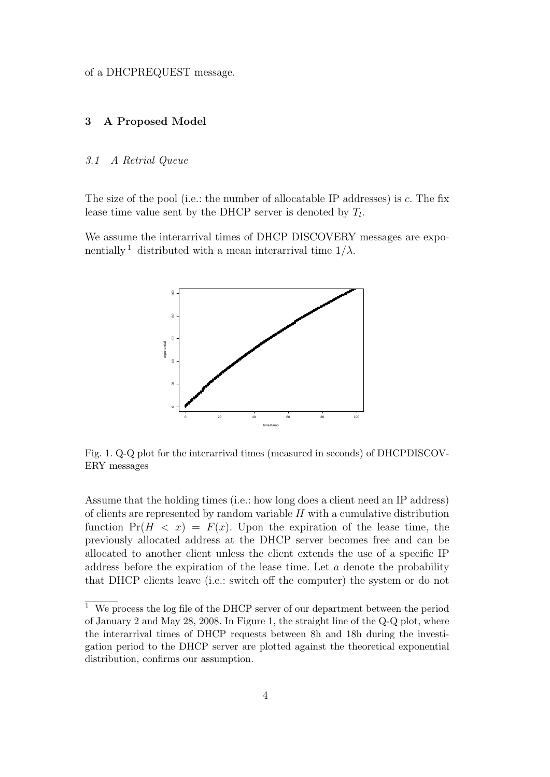of a DHCPREQUEST message.

## 3 A Proposed Model

## 3.1 A Retrial Queue

The size of the pool (i.e.: the number of allocatable IP addresses) is c. The fix lease time value sent by the DHCP server is denoted by  $T_l$ .

We assume the interarrival times of DHCP DISCOVERY messages are exponentially <sup>1</sup> distributed with a mean interarrival time  $1/\lambda$ .



Fig. 1. Q-Q plot for the interarrival times (measured in seconds) of DHCPDISCOV-ERY messages

Assume that the holding times (i.e.: how long does a client need an IP address) of clients are represented by random variable  $H$  with a cumulative distribution function  $Pr(H \leq x) = F(x)$ . Upon the expiration of the lease time, the previously allocated address at the DHCP server becomes free and can be allocated to another client unless the client extends the use of a specific IP address before the expiration of the lease time. Let a denote the probability that DHCP clients leave (i.e.: switch off the computer) the system or do not

 $^1\,$  We process the log file of the DHCP server of our department between the period of January 2 and May 28, 2008. In Figure 1, the straight line of the Q-Q plot, where the interarrival times of DHCP requests between 8h and 18h during the investigation period to the DHCP server are plotted against the theoretical exponential distribution, confirms our assumption.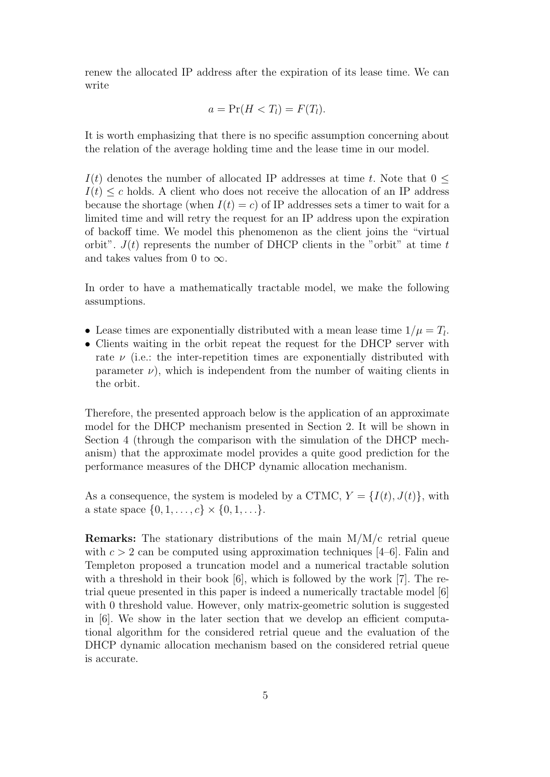renew the allocated IP address after the expiration of its lease time. We can write

$$
a = \Pr(H < T_l) = F(T_l).
$$

It is worth emphasizing that there is no specific assumption concerning about the relation of the average holding time and the lease time in our model.

 $I(t)$  denotes the number of allocated IP addresses at time t. Note that  $0 \leq$  $I(t) \leq c$  holds. A client who does not receive the allocation of an IP address because the shortage (when  $I(t) = c$ ) of IP addresses sets a timer to wait for a limited time and will retry the request for an IP address upon the expiration of backoff time. We model this phenomenon as the client joins the "virtual orbit".  $J(t)$  represents the number of DHCP clients in the "orbit" at time t and takes values from 0 to  $\infty$ .

In order to have a mathematically tractable model, we make the following assumptions.

- Lease times are exponentially distributed with a mean lease time  $1/\mu = T_l$ .
- Clients waiting in the orbit repeat the request for the DHCP server with rate  $\nu$  (i.e.: the inter-repetition times are exponentially distributed with parameter  $\nu$ ), which is independent from the number of waiting clients in the orbit.

Therefore, the presented approach below is the application of an approximate model for the DHCP mechanism presented in Section 2. It will be shown in Section 4 (through the comparison with the simulation of the DHCP mechanism) that the approximate model provides a quite good prediction for the performance measures of the DHCP dynamic allocation mechanism.

As a consequence, the system is modeled by a CTMC,  $Y = \{I(t), J(t)\}\$ , with a state space  $\{0, 1, \ldots, c\} \times \{0, 1, \ldots\}.$ 

Remarks: The stationary distributions of the main M/M/c retrial queue with  $c > 2$  can be computed using approximation techniques [4–6]. Falin and Templeton proposed a truncation model and a numerical tractable solution with a threshold in their book  $[6]$ , which is followed by the work  $[7]$ . The retrial queue presented in this paper is indeed a numerically tractable model [6] with 0 threshold value. However, only matrix-geometric solution is suggested in [6]. We show in the later section that we develop an efficient computational algorithm for the considered retrial queue and the evaluation of the DHCP dynamic allocation mechanism based on the considered retrial queue is accurate.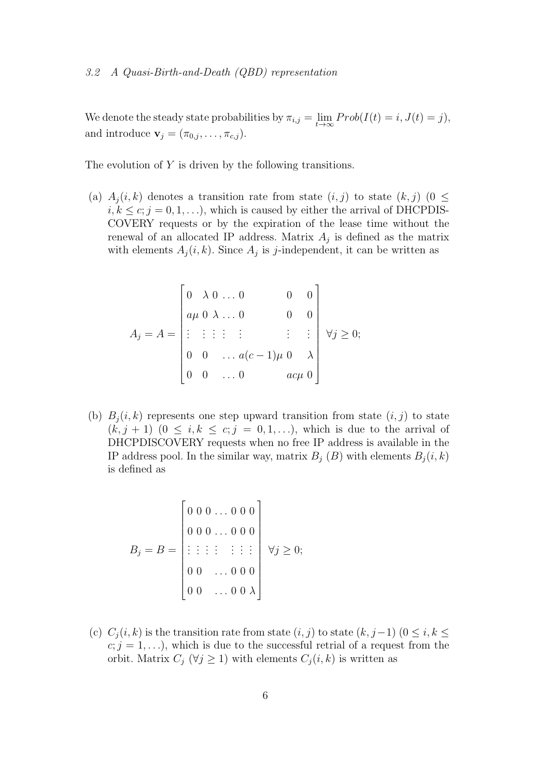#### 3.2 A Quasi-Birth-and-Death (QBD) representation

We denote the steady state probabilities by  $\pi_{i,j} = \lim_{t \to \infty} Prob(I(t) = i, J(t) = j),$ and introduce  $\mathbf{v}_j = (\pi_{0,j}, \ldots, \pi_{c,j}).$ 

The evolution of Y is driven by the following transitions.

(a)  $A_j(i,k)$  denotes a transition rate from state  $(i, j)$  to state  $(k, j)$   $(0 \leq$  $i, k \leq c; j = 0, 1, \ldots$ , which is caused by either the arrival of DHCPDIS-COVERY requests or by the expiration of the lease time without the renewal of an allocated IP address. Matrix  $A_j$  is defined as the matrix with elements  $A_j(i,k)$ . Since  $A_j$  is j-independent, it can be written as

$$
A_j = A = \begin{bmatrix} 0 & \lambda & 0 & \dots & 0 & 0 & 0 \\ a\mu & 0 & \lambda & \dots & 0 & 0 & 0 \\ \vdots & \vdots & \vdots & \vdots & & \vdots & \vdots \\ 0 & 0 & \dots & a(c-1)\mu & 0 & \lambda \\ 0 & 0 & \dots & 0 & & ac\mu & 0 \end{bmatrix} \forall j \ge 0;
$$

(b)  $B_i(i, k)$  represents one step upward transition from state  $(i, j)$  to state  $(k, j + 1)$   $(0 \leq i, k \leq c; j = 0, 1, \ldots)$ , which is due to the arrival of DHCPDISCOVERY requests when no free IP address is available in the IP address pool. In the similar way, matrix  $B_j(B)$  with elements  $B_j(i, k)$ is defined as

$$
B_j = B = \begin{bmatrix} 0 & 0 & 0 & \dots & 0 & 0 & 0 \\ 0 & 0 & 0 & \dots & 0 & 0 & 0 \\ \vdots & \vdots & \vdots & \vdots & \vdots & \vdots & \vdots \\ 0 & 0 & \dots & 0 & 0 & 0 \\ 0 & 0 & \dots & 0 & 0 & \lambda \end{bmatrix} \quad \forall j \ge 0;
$$

(c)  $C_i(i, k)$  is the transition rate from state  $(i, j)$  to state  $(k, j-1)$   $(0 \le i, k \le j)$  $c; j = 1, \ldots$ , which is due to the successful retrial of a request from the orbit. Matrix  $C_j$  ( $\forall j \geq 1$ ) with elements  $C_j(i, k)$  is written as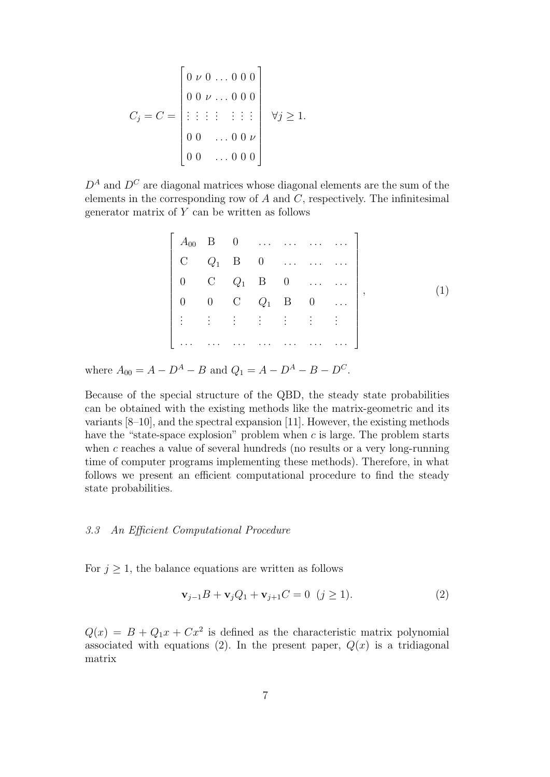$$
C_j = C = \begin{bmatrix} 0 & \nu & 0 & \dots & 0 & 0 & 0 \\ 0 & 0 & \nu & \dots & 0 & 0 & 0 \\ \vdots & \vdots & \vdots & \vdots & \vdots & \vdots & \vdots \\ 0 & 0 & \dots & 0 & 0 & \nu \\ 0 & 0 & \dots & 0 & 0 & 0 \end{bmatrix} \quad \forall j \geq 1.
$$

 $D<sup>A</sup>$  and  $D<sup>C</sup>$  are diagonal matrices whose diagonal elements are the sum of the elements in the corresponding row of  $A$  and  $C$ , respectively. The infinitesimal generator matrix of  $Y$  can be written as follows

| $A_{00}$ B 0                                                            |                         |  |                                                                 |  |  |
|-------------------------------------------------------------------------|-------------------------|--|-----------------------------------------------------------------|--|--|
| $\begin{bmatrix} C & Q_1 & B & 0 & \dots & \dots & \dots \end{bmatrix}$ |                         |  |                                                                 |  |  |
|                                                                         |                         |  | $0 \quad C \quad Q_1 \quad B \quad 0 \quad \ldots \quad \ldots$ |  |  |
|                                                                         |                         |  | $0 \quad 0 \quad C \quad Q_1 \quad B \quad 0 \quad \ldots$      |  |  |
|                                                                         |                         |  |                                                                 |  |  |
|                                                                         | المتوار وووار وووار ووو |  |                                                                 |  |  |

where  $A_{00} = A - D^A - B$  and  $Q_1 = A - D^A - B - D^C$ .

Because of the special structure of the QBD, the steady state probabilities can be obtained with the existing methods like the matrix-geometric and its variants [8–10], and the spectral expansion [11]. However, the existing methods have the "state-space explosion" problem when  $c$  is large. The problem starts when c reaches a value of several hundreds (no results or a very long-running time of computer programs implementing these methods). Therefore, in what follows we present an efficient computational procedure to find the steady state probabilities.

## 3.3 An Efficient Computational Procedure

For  $j \geq 1$ , the balance equations are written as follows

$$
\mathbf{v}_{j-1}B + \mathbf{v}_jQ_1 + \mathbf{v}_{j+1}C = 0 \ (j \ge 1). \tag{2}
$$

 $Q(x) = B + Q_1x + Cx^2$  is defined as the characteristic matrix polynomial associated with equations (2). In the present paper,  $Q(x)$  is a tridiagonal matrix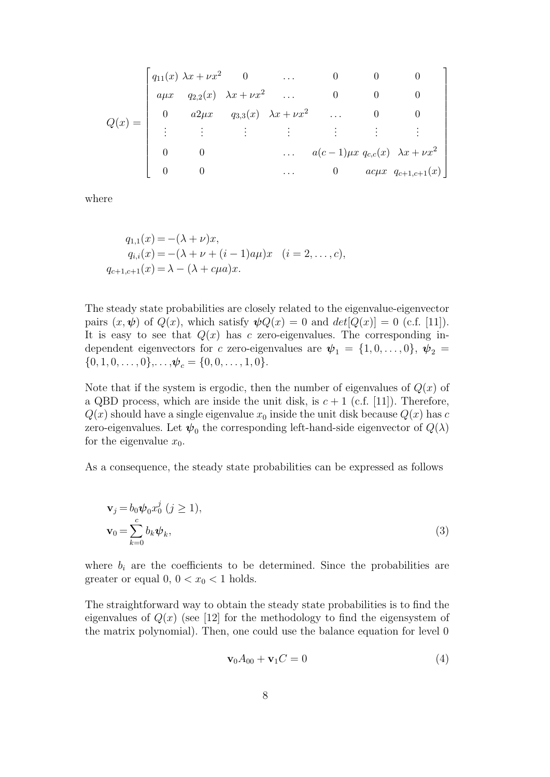$$
Q(x) = \begin{bmatrix} q_{11}(x) \lambda x + \nu x^2 & 0 & \dots & 0 & 0 & 0 \\ a\mu x & q_{2,2}(x) \lambda x + \nu x^2 & \dots & 0 & 0 & 0 \\ 0 & a2\mu x & q_{3,3}(x) \lambda x + \nu x^2 & \dots & 0 & 0 \\ \vdots & \vdots & \vdots & \vdots & \vdots & \vdots & \vdots \\ 0 & 0 & \dots & a(c-1)\mu x & q_{c,c}(x) \lambda x + \nu x^2 \\ 0 & 0 & \dots & 0 & ac\mu x & q_{c+1,c+1}(x) \end{bmatrix}
$$

where

$$
q_{1,1}(x) = -(\lambda + \nu)x,
$$
  
\n
$$
q_{i,i}(x) = -(\lambda + \nu + (i - 1)a\mu)x \quad (i = 2, ..., c),
$$
  
\n
$$
q_{c+1,c+1}(x) = \lambda - (\lambda + c\mu a)x.
$$

The steady state probabilities are closely related to the eigenvalue-eigenvector pairs  $(x, \psi)$  of  $Q(x)$ , which satisfy  $\psi Q(x) = 0$  and  $det[Q(x)] = 0$  (c.f. [11]). It is easy to see that  $Q(x)$  has c zero-eigenvalues. The corresponding independent eigenvectors for c zero-eigenvalues are  $\psi_1 = \{1, 0, \ldots, 0\}, \psi_2 =$  $\{0, 1, 0, \ldots, 0\}, \ldots, \psi_c = \{0, 0, \ldots, 1, 0\}.$ 

Note that if the system is ergodic, then the number of eigenvalues of  $Q(x)$  of a QBD process, which are inside the unit disk, is  $c + 1$  (c.f. [11]). Therefore,  $Q(x)$  should have a single eigenvalue  $x_0$  inside the unit disk because  $Q(x)$  has c zero-eigenvalues. Let  $\psi_0$  the corresponding left-hand-side eigenvector of  $Q(\lambda)$ for the eigenvalue  $x_0$ .

As a consequence, the steady state probabilities can be expressed as follows

$$
\mathbf{v}_j = b_0 \boldsymbol{\psi}_0 x_0^j \ (j \ge 1),
$$
  

$$
\mathbf{v}_0 = \sum_{k=0}^c b_k \boldsymbol{\psi}_k,
$$
 (3)

where  $b_i$  are the coefficients to be determined. Since the probabilities are greater or equal 0,  $0 < x_0 < 1$  holds.

The straightforward way to obtain the steady state probabilities is to find the eigenvalues of  $Q(x)$  (see [12] for the methodology to find the eigensystem of the matrix polynomial). Then, one could use the balance equation for level 0

$$
\mathbf{v}_0 A_{00} + \mathbf{v}_1 C = 0 \tag{4}
$$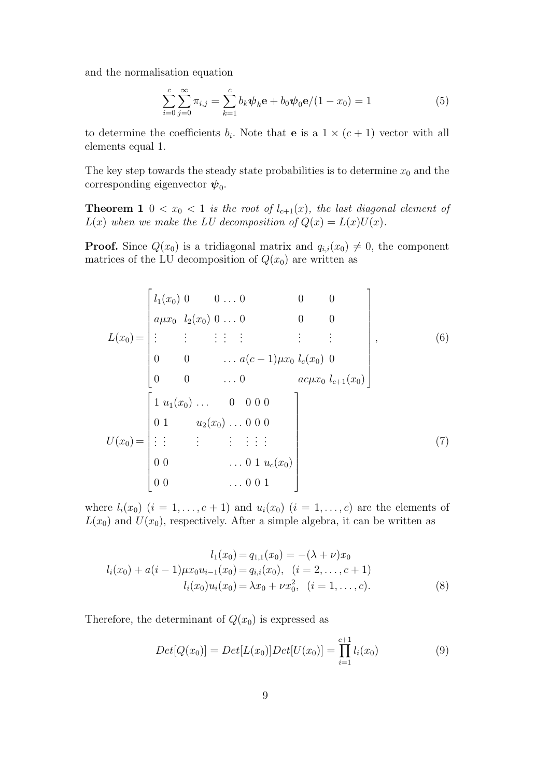and the normalisation equation

$$
\sum_{i=0}^{c} \sum_{j=0}^{\infty} \pi_{i,j} = \sum_{k=1}^{c} b_k \psi_k \mathbf{e} + b_0 \psi_0 \mathbf{e} / (1 - x_0) = 1
$$
 (5)

to determine the coefficients  $b_i$ . Note that **e** is a  $1 \times (c+1)$  vector with all elements equal 1.

The key step towards the steady state probabilities is to determine  $x_0$  and the corresponding eigenvector  $\psi_0$ .

**Theorem 1** 0 <  $x_0$  < 1 is the root of  $l_{c+1}(x)$ , the last diagonal element of  $L(x)$  when we make the LU decomposition of  $Q(x) = L(x)U(x)$ .

**Proof.** Since  $Q(x_0)$  is a tridiagonal matrix and  $q_{i,i}(x_0) \neq 0$ , the component matrices of the LU decomposition of  $Q(x_0)$  are written as

$$
L(x_0) = \begin{bmatrix} l_1(x_0) & 0 & 0 & \dots & 0 & 0 & 0 \\ a\mu x_0 & l_2(x_0) & 0 & \dots & 0 & 0 & 0 \\ \vdots & \vdots & \vdots & \vdots & \vdots & \vdots & \vdots \\ 0 & 0 & \dots & a(c-1)\mu x_0 & l_c(x_0) & 0 \\ 0 & 0 & \dots & 0 & ac\mu x_0 & l_{c+1}(x_0) \end{bmatrix},
$$
(6)  

$$
U(x_0) = \begin{bmatrix} 1 & u_1(x_0) & \dots & 0 & 0 & 0 \\ 0 & 1 & u_2(x_0) & \dots & 0 & 0 \\ \vdots & \vdots & \vdots & \vdots & \vdots & \vdots \\ 0 & 0 & \dots & 0 & 1 & u_c(x_0) \\ 0 & 0 & \dots & 0 & 0 & 1 \end{bmatrix}
$$
(7)

where  $l_i(x_0)$   $(i = 1, \ldots, c + 1)$  and  $u_i(x_0)$   $(i = 1, \ldots, c)$  are the elements of  $L(x_0)$  and  $U(x_0)$ , respectively. After a simple algebra, it can be written as

$$
l_1(x_0) = q_{1,1}(x_0) = -(\lambda + \nu)x_0
$$
  
\n
$$
l_i(x_0) + a(i-1)\mu x_0 u_{i-1}(x_0) = q_{i,i}(x_0), \quad (i = 2, ..., c+1)
$$
  
\n
$$
l_i(x_0)u_i(x_0) = \lambda x_0 + \nu x_0^2, \quad (i = 1, ..., c).
$$
\n(8)

Therefore, the determinant of  $Q(x_0)$  is expressed as

$$
Det[Q(x_0)] = Det[L(x_0)]Det[U(x_0)] = \prod_{i=1}^{c+1} l_i(x_0)
$$
\n(9)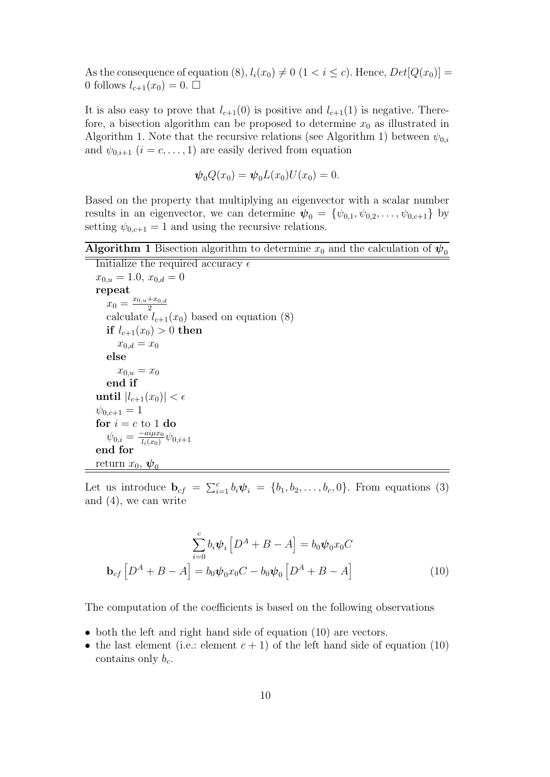As the consequence of equation (8),  $l_i(x_0) \neq 0$  (1 < i  $\leq c$ ). Hence,  $Det[Q(x_0)] =$ 0 follows  $l_{c+1}(x_0) = 0$ .  $\Box$ 

It is also easy to prove that  $l_{c+1}(0)$  is positive and  $l_{c+1}(1)$  is negative. Therefore, a bisection algorithm can be proposed to determine  $x_0$  as illustrated in Algorithm 1. Note that the recursive relations (see Algorithm 1) between  $\psi_{0,i}$ and  $\psi_{0,i+1}$   $(i = c, \ldots, 1)$  are easily derived from equation

$$
\psi_0 Q(x_0) = \psi_0 L(x_0) U(x_0) = 0.
$$

Based on the property that multiplying an eigenvector with a scalar number results in an eigenvector, we can determine  $\psi_0 = {\psi_{0,1}, \psi_{0,2}, \dots, \psi_{0,c+1}}$  by setting  $\psi_{0,c+1} = 1$  and using the recursive relations.

**Algorithm 1** Bisection algorithm to determine  $x_0$  and the calculation of  $\psi_0$ 

```
Initialize the required accuracy \epsilonx_{0,u} = 1.0, x_{0,d} = 0repeat
   x_0 = \frac{x_{0,u}+x_{0,d}}{2}2
   calculate l_{c+1}(x_0) based on equation (8)
   if l_{c+1}(x_0) > 0 then
       x_{0,d} = x_0else
       x_{0,u} = x_0end if
until |l_{c+1}(x_0)| < \epsilon\psi_{0,c+1} = 1for i = c to 1 do
   \psi_{0,i} = \frac{-ai\mu x_0}{l_i(x_0)}\frac{a_i\mu x_0}{l_i(x_0)}\psi_{0,i+1}end for
return x_0, \psi_0
```
Let us introduce  $\mathbf{b}_{cf} = \sum_{i=1}^{c} b_i \psi_i = \{b_1, b_2, \ldots, b_c, 0\}$ . From equations (3) and (4), we can write

$$
\sum_{i=0}^{c} b_i \psi_i [D^A + B - A] = b_0 \psi_0 x_0 C
$$

$$
\mathbf{b}_{cf} [D^A + B - A] = b_0 \psi_0 x_0 C - b_0 \psi_0 [D^A + B - A]
$$
(10)

The computation of the coefficients is based on the following observations

- both the left and right hand side of equation (10) are vectors.
- the last element (i.e.: element  $c + 1$ ) of the left hand side of equation (10) contains only  $b_c$ .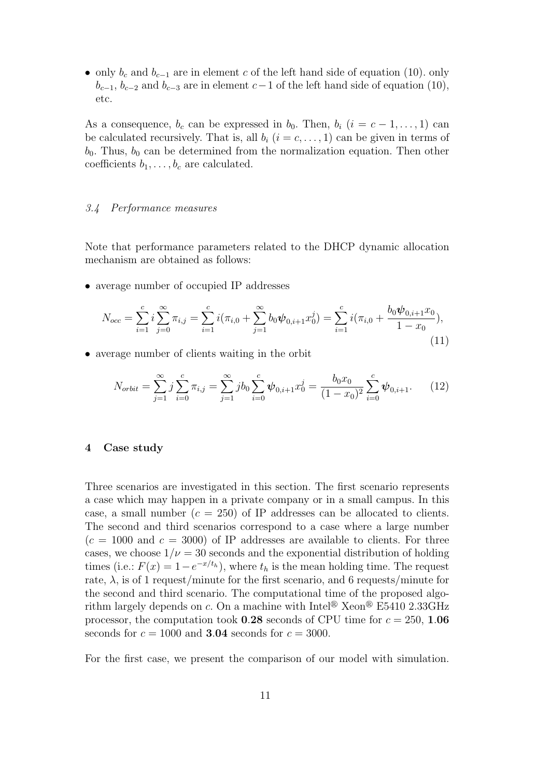• only  $b_c$  and  $b_{c-1}$  are in element c of the left hand side of equation (10). only  $b_{c-1}, b_{c-2}$  and  $b_{c-3}$  are in element  $c-1$  of the left hand side of equation (10), etc.

As a consequence,  $b_c$  can be expressed in  $b_0$ . Then,  $b_i$   $(i = c - 1, \ldots, 1)$  can be calculated recursively. That is, all  $b_i$   $(i = c, \ldots, 1)$  can be given in terms of  $b_0$ . Thus,  $b_0$  can be determined from the normalization equation. Then other coefficients  $b_1, \ldots, b_c$  are calculated.

## 3.4 Performance measures

Note that performance parameters related to the DHCP dynamic allocation mechanism are obtained as follows:

• average number of occupied IP addresses

$$
N_{occ} = \sum_{i=1}^{c} i \sum_{j=0}^{\infty} \pi_{i,j} = \sum_{i=1}^{c} i(\pi_{i,0} + \sum_{j=1}^{\infty} b_0 \boldsymbol{\psi}_{0,i+1} x_0^j) = \sum_{i=1}^{c} i(\pi_{i,0} + \frac{b_0 \boldsymbol{\psi}_{0,i+1} x_0}{1 - x_0}),
$$
\n(11)

• average number of clients waiting in the orbit

$$
N_{orbit} = \sum_{j=1}^{\infty} j \sum_{i=0}^{c} \pi_{i,j} = \sum_{j=1}^{\infty} jb_0 \sum_{i=0}^{c} \psi_{0,i+1} x_0^j = \frac{b_0 x_0}{(1 - x_0)^2} \sum_{i=0}^{c} \psi_{0,i+1}.
$$
 (12)

#### 4 Case study

Three scenarios are investigated in this section. The first scenario represents a case which may happen in a private company or in a small campus. In this case, a small number  $(c = 250)$  of IP addresses can be allocated to clients. The second and third scenarios correspond to a case where a large number  $(c = 1000$  and  $c = 3000$  of IP addresses are available to clients. For three cases, we choose  $1/\nu = 30$  seconds and the exponential distribution of holding times (i.e.:  $F(x) = 1 - e^{-x/t_h}$ ), where  $t_h$  is the mean holding time. The request rate,  $\lambda$ , is of 1 request/minute for the first scenario, and 6 requests/minute for the second and third scenario. The computational time of the proposed algorithm largely depends on c. On a machine with Intel<sup>®</sup> Xeon<sup>®</sup> E5410 2.33GHz processor, the computation took **0.28** seconds of CPU time for  $c = 250$ , **1.06** seconds for  $c = 1000$  and **3.04** seconds for  $c = 3000$ .

For the first case, we present the comparison of our model with simulation.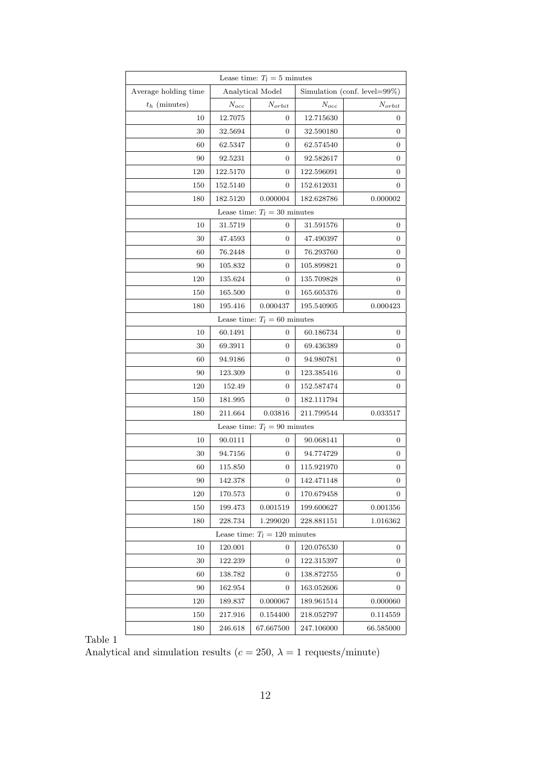| Lease time: $T_l = 5$ minutes   |           |                                |                              |                |  |  |  |  |  |  |  |
|---------------------------------|-----------|--------------------------------|------------------------------|----------------|--|--|--|--|--|--|--|
| Average holding time            |           | Analytical Model               | Simulation (conf. level=99%) |                |  |  |  |  |  |  |  |
| $t_h$ (minutes)                 | $N_{occ}$ | $N_{orbit}$                    | $N_{occ}$                    | $N_{orbit}$    |  |  |  |  |  |  |  |
| 10                              | 12.7075   | 0                              | 12.715630                    | 0              |  |  |  |  |  |  |  |
| 30                              | 32.5694   | 0                              | 32.590180                    | 0              |  |  |  |  |  |  |  |
| 60                              | 62.5347   | 0                              | 62.574540                    | 0              |  |  |  |  |  |  |  |
| 90                              | 92.5231   | 0                              | 92.582617                    | 0              |  |  |  |  |  |  |  |
| 120                             | 122.5170  | 0                              | 122.596091                   | 0              |  |  |  |  |  |  |  |
| 150                             | 152.5140  | 0                              | 152.612031                   | 0              |  |  |  |  |  |  |  |
| 180                             | 182.5120  | 0.000004                       | 182.628786                   | 0.000002       |  |  |  |  |  |  |  |
| Lease time: $T_l = 30$ minutes  |           |                                |                              |                |  |  |  |  |  |  |  |
| 10                              | 31.5719   | 0                              | 31.591576                    | 0              |  |  |  |  |  |  |  |
| 30                              | 47.4593   | 0                              | 47.490397                    | 0              |  |  |  |  |  |  |  |
| 60                              | 76.2448   | 0                              | 76.293760                    | 0              |  |  |  |  |  |  |  |
| 90                              | 105.832   | 0                              | 105.899821                   | 0              |  |  |  |  |  |  |  |
| 120                             | 135.624   | 0                              | 135.709828                   | 0              |  |  |  |  |  |  |  |
| 150                             | 165.500   | 0                              | 165.605376                   | 0              |  |  |  |  |  |  |  |
| 180                             | 195.416   | 0.000437                       | 195.540905                   | 0.000423       |  |  |  |  |  |  |  |
| Lease time: $T_l = 60$ minutes  |           |                                |                              |                |  |  |  |  |  |  |  |
| 10                              | 60.1491   | 0                              | 60.186734                    | 0              |  |  |  |  |  |  |  |
| 30                              | 69.3911   | 0                              | 69.436389                    | 0              |  |  |  |  |  |  |  |
| 60                              | 94.9186   | 0                              | 94.980781                    | 0              |  |  |  |  |  |  |  |
| 90                              | 123.309   | 0                              | 123.385416                   | 0              |  |  |  |  |  |  |  |
| 120                             | 152.49    | 0                              | 152.587474                   | 0              |  |  |  |  |  |  |  |
| 150                             | 181.995   | 0                              | 182.111794                   |                |  |  |  |  |  |  |  |
| 180                             | 211.664   | 0.03816                        | 211.799544                   | 0.033517       |  |  |  |  |  |  |  |
|                                 |           | Lease time: $T_l = 90$ minutes |                              |                |  |  |  |  |  |  |  |
| 10                              | 90.0111   | 0                              | 90.068141                    | 0              |  |  |  |  |  |  |  |
| 30                              | 94.7156   | 0                              | 94.774729                    | 0              |  |  |  |  |  |  |  |
| 60                              | 115.850   | 0                              | 115.921970                   | 0              |  |  |  |  |  |  |  |
| 90                              | 142.378   | 0                              | 142.471148                   | 0              |  |  |  |  |  |  |  |
| 120                             | 170.573   | $\overline{0}$                 | 170.679458                   | $\overline{0}$ |  |  |  |  |  |  |  |
| 150                             | 199.473   | 0.001519                       | 199.600627                   | 0.001356       |  |  |  |  |  |  |  |
| 180                             | 228.734   | 1.299020                       | 228.881151                   | 1.016362       |  |  |  |  |  |  |  |
| Lease time: $T_l = 120$ minutes |           |                                |                              |                |  |  |  |  |  |  |  |
| 10                              | 120.001   | 0                              | 120.076530                   | 0              |  |  |  |  |  |  |  |
| 30                              | 122.239   | 0                              | 122.315397                   | 0              |  |  |  |  |  |  |  |
| 60                              | 138.782   | 0                              | 138.872755                   | 0              |  |  |  |  |  |  |  |
| 90                              | 162.954   | 0                              | 163.052606                   | 0              |  |  |  |  |  |  |  |
| 120                             | 189.837   | 0.000067                       | 189.961514                   | 0.000060       |  |  |  |  |  |  |  |
| 150                             | 217.916   | 0.154400                       | 218.052797                   | 0.114559       |  |  |  |  |  |  |  |
| 180                             | 246.618   | 67.667500                      | 247.106000                   | 66.585000      |  |  |  |  |  |  |  |

Table 1

Analytical and simulation results ( $c = 250$ ,  $\lambda = 1$  requests/minute)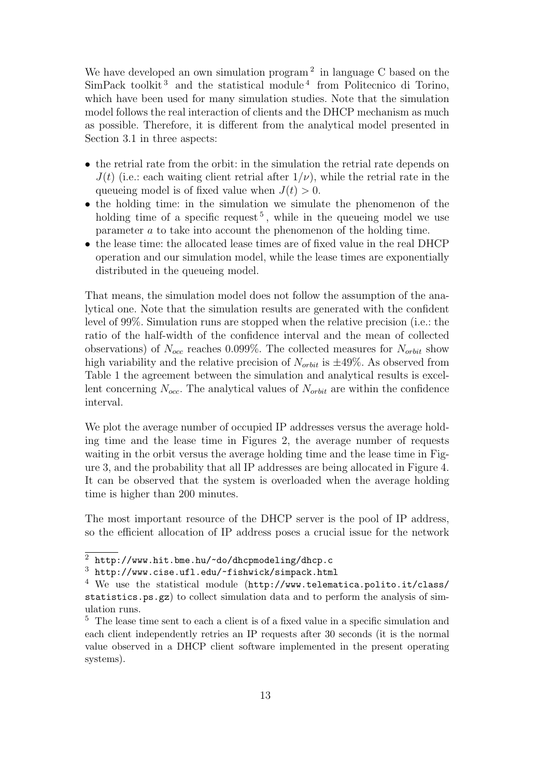We have developed an own simulation program<sup>2</sup> in language C based on the  $SimPack$  toolkit<sup>3</sup> and the statistical module<sup>4</sup> from Politecnico di Torino, which have been used for many simulation studies. Note that the simulation model follows the real interaction of clients and the DHCP mechanism as much as possible. Therefore, it is different from the analytical model presented in Section 3.1 in three aspects:

- the retrial rate from the orbit: in the simulation the retrial rate depends on  $J(t)$  (i.e.: each waiting client retrial after  $1/\nu$ ), while the retrial rate in the queueing model is of fixed value when  $J(t) > 0$ .
- the holding time: in the simulation we simulate the phenomenon of the holding time of a specific request<sup>5</sup>, while in the queueing model we use parameter a to take into account the phenomenon of the holding time.
- the lease time: the allocated lease times are of fixed value in the real DHCP operation and our simulation model, while the lease times are exponentially distributed in the queueing model.

That means, the simulation model does not follow the assumption of the analytical one. Note that the simulation results are generated with the confident level of 99%. Simulation runs are stopped when the relative precision (i.e.: the ratio of the half-width of the confidence interval and the mean of collected observations) of  $N_{occ}$  reaches 0.099%. The collected measures for  $N_{orbit}$  show high variability and the relative precision of  $N_{orbit}$  is  $\pm 49\%$ . As observed from Table 1 the agreement between the simulation and analytical results is excellent concerning  $N_{occ}$ . The analytical values of  $N_{orbit}$  are within the confidence interval.

We plot the average number of occupied IP addresses versus the average holding time and the lease time in Figures 2, the average number of requests waiting in the orbit versus the average holding time and the lease time in Figure 3, and the probability that all IP addresses are being allocated in Figure 4. It can be observed that the system is overloaded when the average holding time is higher than 200 minutes.

The most important resource of the DHCP server is the pool of IP address, so the efficient allocation of IP address poses a crucial issue for the network

<sup>2</sup> http://www.hit.bme.hu/~do/dhcpmodeling/dhcp.c

<sup>3</sup> http://www.cise.ufl.edu/~fishwick/simpack.html

<sup>4</sup> We use the statistical module (http://www.telematica.polito.it/class/ statistics.ps.gz) to collect simulation data and to perform the analysis of simulation runs.

 $5\text{ }$  The lease time sent to each a client is of a fixed value in a specific simulation and each client independently retries an IP requests after 30 seconds (it is the normal value observed in a DHCP client software implemented in the present operating systems).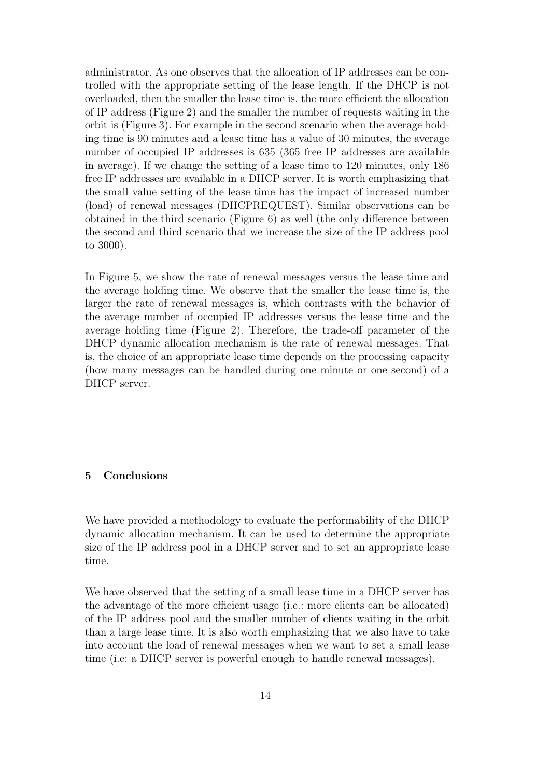administrator. As one observes that the allocation of IP addresses can be controlled with the appropriate setting of the lease length. If the DHCP is not overloaded, then the smaller the lease time is, the more efficient the allocation of IP address (Figure 2) and the smaller the number of requests waiting in the orbit is (Figure 3). For example in the second scenario when the average holding time is 90 minutes and a lease time has a value of 30 minutes, the average number of occupied IP addresses is 635 (365 free IP addresses are available in average). If we change the setting of a lease time to 120 minutes, only 186 free IP addresses are available in a DHCP server. It is worth emphasizing that the small value setting of the lease time has the impact of increased number (load) of renewal messages (DHCPREQUEST). Similar observations can be obtained in the third scenario (Figure 6) as well (the only difference between the second and third scenario that we increase the size of the IP address pool to 3000).

In Figure 5, we show the rate of renewal messages versus the lease time and the average holding time. We observe that the smaller the lease time is, the larger the rate of renewal messages is, which contrasts with the behavior of the average number of occupied IP addresses versus the lease time and the average holding time (Figure 2). Therefore, the trade-off parameter of the DHCP dynamic allocation mechanism is the rate of renewal messages. That is, the choice of an appropriate lease time depends on the processing capacity (how many messages can be handled during one minute or one second) of a DHCP server.

## 5 Conclusions

We have provided a methodology to evaluate the performability of the DHCP dynamic allocation mechanism. It can be used to determine the appropriate size of the IP address pool in a DHCP server and to set an appropriate lease time.

We have observed that the setting of a small lease time in a DHCP server has the advantage of the more efficient usage (i.e.: more clients can be allocated) of the IP address pool and the smaller number of clients waiting in the orbit than a large lease time. It is also worth emphasizing that we also have to take into account the load of renewal messages when we want to set a small lease time (i.e: a DHCP server is powerful enough to handle renewal messages).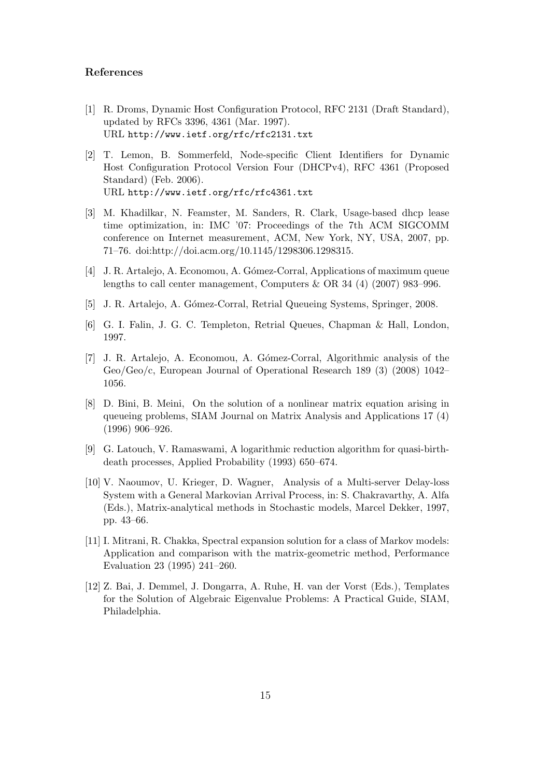#### References

- [1] R. Droms, Dynamic Host Configuration Protocol, RFC 2131 (Draft Standard), updated by RFCs 3396, 4361 (Mar. 1997). URL http://www.ietf.org/rfc/rfc2131.txt
- [2] T. Lemon, B. Sommerfeld, Node-specific Client Identifiers for Dynamic Host Configuration Protocol Version Four (DHCPv4), RFC 4361 (Proposed Standard) (Feb. 2006). URL http://www.ietf.org/rfc/rfc4361.txt
- [3] M. Khadilkar, N. Feamster, M. Sanders, R. Clark, Usage-based dhcp lease time optimization, in: IMC '07: Proceedings of the 7th ACM SIGCOMM conference on Internet measurement, ACM, New York, NY, USA, 2007, pp. 71–76. doi:http://doi.acm.org/10.1145/1298306.1298315.
- [4] J. R. Artalejo, A. Economou, A. Gómez-Corral, Applications of maximum queue lengths to call center management, Computers & OR 34 (4) (2007) 983–996.
- [5] J. R. Artalejo, A. G´omez-Corral, Retrial Queueing Systems, Springer, 2008.
- [6] G. I. Falin, J. G. C. Templeton, Retrial Queues, Chapman & Hall, London, 1997.
- [7] J. R. Artalejo, A. Economou, A. Gómez-Corral, Algorithmic analysis of the Geo/Geo/c, European Journal of Operational Research 189 (3) (2008) 1042– 1056.
- [8] D. Bini, B. Meini, On the solution of a nonlinear matrix equation arising in queueing problems, SIAM Journal on Matrix Analysis and Applications 17 (4) (1996) 906–926.
- [9] G. Latouch, V. Ramaswami, A logarithmic reduction algorithm for quasi-birthdeath processes, Applied Probability (1993) 650–674.
- [10] V. Naoumov, U. Krieger, D. Wagner, Analysis of a Multi-server Delay-loss System with a General Markovian Arrival Process, in: S. Chakravarthy, A. Alfa (Eds.), Matrix-analytical methods in Stochastic models, Marcel Dekker, 1997, pp. 43–66.
- [11] I. Mitrani, R. Chakka, Spectral expansion solution for a class of Markov models: Application and comparison with the matrix-geometric method, Performance Evaluation 23 (1995) 241–260.
- [12] Z. Bai, J. Demmel, J. Dongarra, A. Ruhe, H. van der Vorst (Eds.), Templates for the Solution of Algebraic Eigenvalue Problems: A Practical Guide, SIAM, Philadelphia.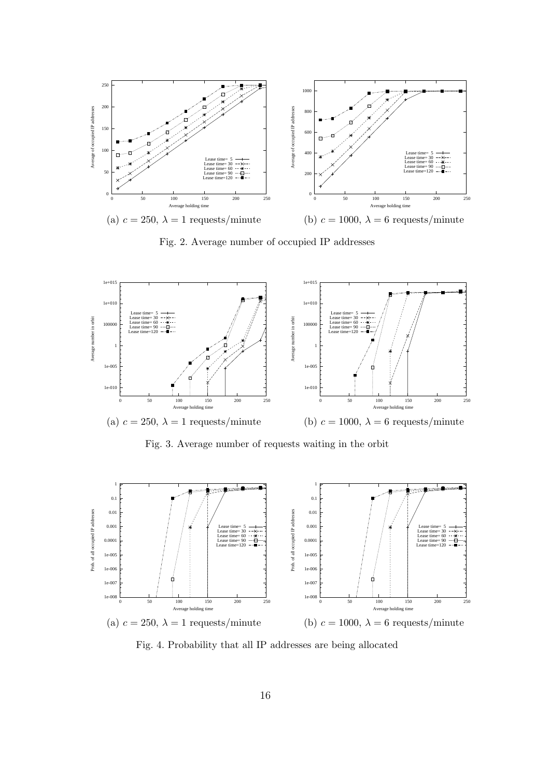

Fig. 2. Average number of occupied IP addresses



Fig. 3. Average number of requests waiting in the orbit



Fig. 4. Probability that all IP addresses are being allocated